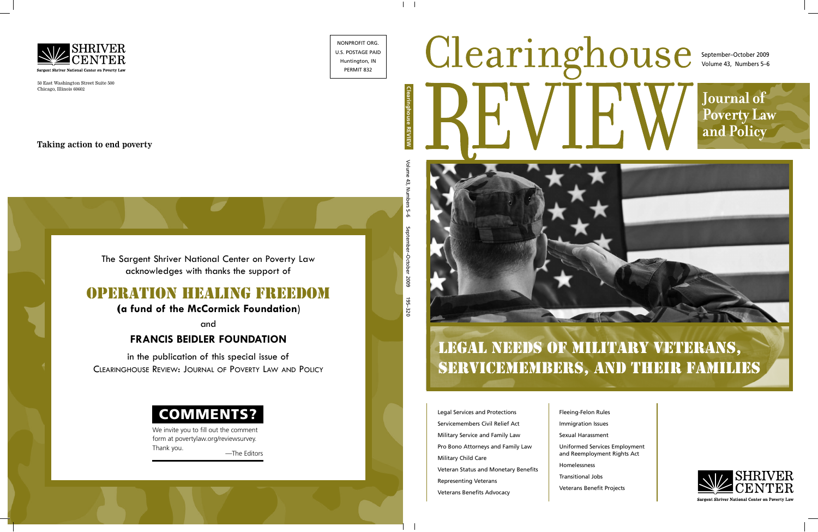# Clearinghouse September–October 2009 Volume 43, Numbers 5–6 **Journal of Poverty Law** and Policy

## LEGAL NEEDS OF MILITARY VETERANS, SERVICEMEMBERS, AND THEIR FAMILIES

Legal Services and Protections Servicemembers Civil Relief Act Military Service and Family Law Pro Bono Attorneys and Family Law Military Child Care Veteran Status and Monetary Benefits Representing Veterans Veterans Benefits Advocacy

Fleeing-Felon Rules Immigration Issues Sexual Harassment Uniformed Services Employment and Reemployment Rights Act Homelessness Transitional Jobs

Veterans Benefit Projects



Sargent Shriver National Center on Poverty Law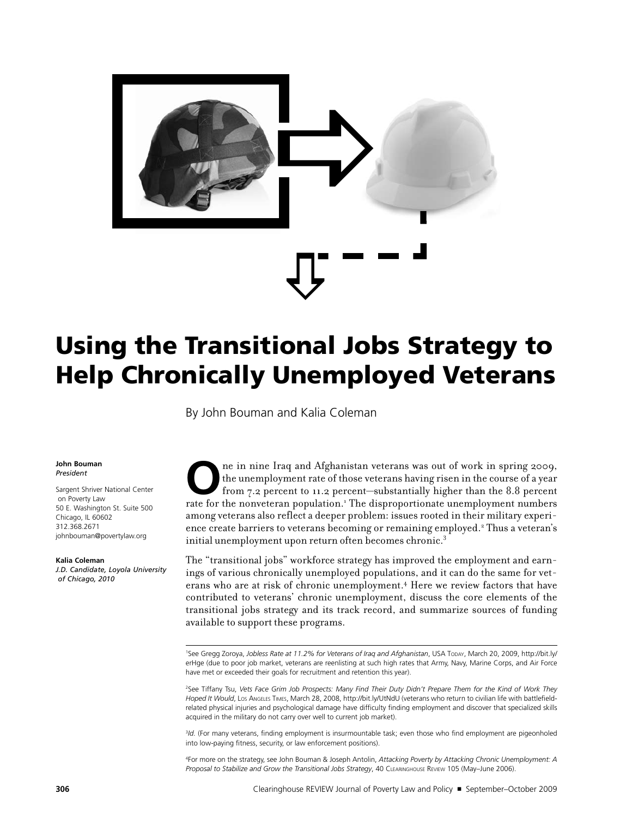

## Using the Transitional Jobs Strategy to Help Chronically Unemployed Veterans

By John Bouman and Kalia Coleman

#### **John Bouman** *President*

Sargent Shriver National Center on Poverty Law 50 E. Washington St. Suite 500 Chicago, IL 60602 312.368.2671 johnbouman@povertylaw.org

#### **Kalia Coleman**

*J.D. Candidate, Loyola University of Chicago, 2010*

The in nine Iraq and Afghanistan veterans was out of work in spring 2009, the unemployment rate of those veterans having risen in the course of a year from 7.2 percent to 11.2 percent—substantially higher than the 8.8 perc the unemployment rate of those veterans having risen in the course of a year from 7.2 percent to 11.2 percent—substantially higher than the 8.8 percent rate for the nonveteran population.<sup>1</sup> The disproportionate unemployment numbers among veterans also reflect a deeper problem: issues rooted in their military experience create barriers to veterans becoming or remaining employed.<sup>2</sup> Thus a veteran's initial unemployment upon return often becomes chronic.<sup>3</sup>

The "transitional jobs" workforce strategy has improved the employment and earnings of various chronically unemployed populations, and it can do the same for veterans who are at risk of chronic unemployment.4 Here we review factors that have contributed to veterans' chronic unemployment, discuss the core elements of the transitional jobs strategy and its track record, and summarize sources of funding available to support these programs.

<sup>1</sup>See Gregg Zoroya, *Jobless Rate at 11.2% for Veterans of Iraq and Afghanistan*, USA Topay, March 20, 2009, http://bit.ly/ erHge (due to poor job market, veterans are reenlisting at such high rates that Army, Navy, Marine Corps, and Air Force have met or exceeded their goals for recruitment and retention this year).

2 See Tiffany Tsu, *Vets Face Grim Job Prospects: Many Find Their Duty Didn't Prepare Them for the Kind of Work They Hoped It Would*, Los Angeles Times, March 28, 2008, http://bit.ly/UtNdU (veterans who return to civilian life with battlefieldrelated physical injuries and psychological damage have difficulty finding employment and discover that specialized skills acquired in the military do not carry over well to current job market).

3 *Id.* (For many veterans, finding employment is insurmountable task; even those who find employment are pigeonholed into low-paying fitness, security, or law enforcement positions).

4 For more on the strategy, see John Bouman & Joseph Antolin, *Attacking Poverty by Attacking Chronic Unemployment: A Proposal to Stabilize and Grow the Transitional Jobs Strategy*, 40 Clearinghouse Review 105 (May–June 2006).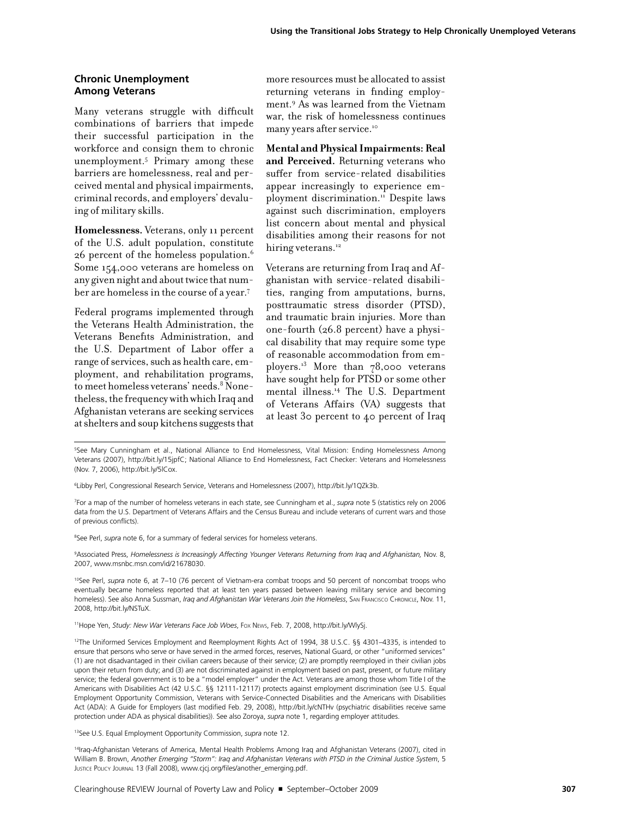#### **Chronic Unemployment Among Veterans**

Many veterans struggle with difficult combinations of barriers that impede their successful participation in the workforce and consign them to chronic unemployment.5 Primary among these barriers are homelessness, real and perceived mental and physical impairments, criminal records, and employers' devaluing of military skills.

**Homelessness.** Veterans, only 11 percent of the U.S. adult population, constitute 26 percent of the homeless population.6 Some 154,000 veterans are homeless on any given night and about twice that number are homeless in the course of a year.7

Federal programs implemented through the Veterans Health Administration, the Veterans Benefits Administration, and the U.S. Department of Labor offer a range of services, such as health care, employment, and rehabilitation programs, to meet homeless veterans' needs.<sup>8</sup> Nonetheless, the frequency with which Iraq and Afghanistan veterans are seeking services at shelters and soup kitchens suggests that more resources must be allocated to assist returning veterans in finding employment.9 As was learned from the Vietnam war, the risk of homelessness continues many years after service.10

**Mental and Physical Impairments: Real and Perceived.** Returning veterans who suffer from service-related disabilities appear increasingly to experience employment discrimination.<sup>11</sup> Despite laws against such discrimination, employers list concern about mental and physical disabilities among their reasons for not hiring veterans.<sup>12</sup>

Veterans are returning from Iraq and Afghanistan with service-related disabilities, ranging from amputations, burns, posttraumatic stress disorder (PTSD), and traumatic brain injuries. More than one-fourth (26.8 percent) have a physical disability that may require some type of reasonable accommodation from employers. $^{13}$  More than 78,000 veterans have sought help for PTSD or some other mental illness.14 The U.S. Department of Veterans Affairs (VA) suggests that at least 30 percent to 40 percent of Iraq

5 See Mary Cunningham et al., National Alliance to End Homelessness, Vital Mission: Ending Homelessness Among Veterans (2007), http://bit.ly/15jpfC; National Alliance to End Homelessness, Fact Checker: Veterans and Homelessness (Nov. 7, 2006), http://bit.ly/5lCox.

6 Libby Perl, Congressional Research Service, Veterans and Homelessness (2007), http://bit.ly/1QZk3b.

7 For a map of the number of homeless veterans in each state, see Cunningham et al., *supra* note 5 (statistics rely on 2006 data from the U.S. Department of Veterans Affairs and the Census Bureau and include veterans of current wars and those of previous conflicts).

8 See Perl, *supra* note 6, for a summary of federal services for homeless veterans.

9 Associated Press, *Homelessness is Increasingly Affecting Younger Veterans Returning from Iraq and Afghanistan,* Nov. 8, 2007, www.msnbc.msn.com/id/21678030.

10See Perl, *supra* note 6, at 7–10 (76 percent of Vietnam-era combat troops and 50 percent of noncombat troops who eventually became homeless reported that at least ten years passed between leaving military service and becoming homeless). See also Anna Sussman, *Iraq and Afghanistan War Veterans Join the Homeless*, SAN FRANCISCO CHRONICLE, Nov. 11, 2008, http://bit.ly/NSTuX.

11Hope Yen, *Study: New War Veterans Face Job Woes*, Fox News, Feb. 7, 2008, http://bit.ly/WlySj.

13See U.S. Equal Employment Opportunity Commission, *supra* note 12.

14Iraq-Afghanistan Veterans of America, Mental Health Problems Among Iraq and Afghanistan Veterans (2007), cited in William B. Brown, *Another Emerging "Storm": Iraq and Afghanistan Veterans with PTSD in the Criminal Justice System*, 5 JUSTICE POLICY JOURNAL 13 (Fall 2008), www.cjcj.org/files/another\_emerging.pdf.

<sup>12</sup>The Uniformed Services Employment and Reemployment Rights Act of 1994, 38 U.S.C. §§ 4301–4335, is intended to ensure that persons who serve or have served in the armed forces, reserves, National Guard, or other "uniformed services" (1) are not disadvantaged in their civilian careers because of their service; (2) are promptly reemployed in their civilian jobs upon their return from duty; and (3) are not discriminated against in employment based on past, present, or future military service; the federal government is to be a "model employer" under the Act. Veterans are among those whom Title I of the Americans with Disabilities Act (42 U.S.C. §§ 12111-12117) protects against employment discrimination (see U.S. Equal Employment Opportunity Commission, Veterans with Service-Connected Disabilities and the Americans with Disabilities Act (ADA): A Guide for Employers (last modified Feb. 29, 2008), http://bit.ly/cNTHv (psychiatric disabilities receive same protection under ADA as physical disabilities)). See also Zoroya, *supra* note 1, regarding employer attitudes.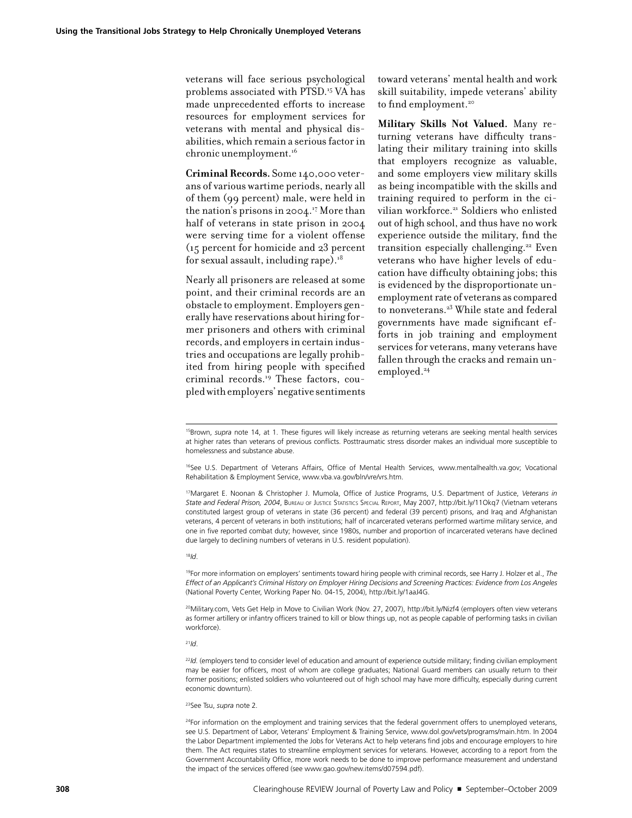veterans will face serious psychological problems associated with PTSD.15 VA has made unprecedented efforts to increase resources for employment services for veterans with mental and physical disabilities, which remain a serious factor in chronic unemployment.<sup>16</sup>

**Criminal Records.** Some 140,000 veterans of various wartime periods, nearly all of them (99 percent) male, were held in the nation's prisons in 2004.<sup>17</sup> More than half of veterans in state prison in 2004 were serving time for a violent offense (15 percent for homicide and 23 percent for sexual assault, including rape). $18$ 

Nearly all prisoners are released at some point, and their criminal records are an obstacle to employment. Employers generally have reservations about hiring former prisoners and others with criminal records, and employers in certain industries and occupations are legally prohibited from hiring people with specified criminal records.19 These factors, coupled with employers' negative sentiments toward veterans' mental health and work skill suitability, impede veterans' ability to find employment.<sup>20</sup>

**Military Skills Not Valued.** Many returning veterans have difficulty translating their military training into skills that employers recognize as valuable, and some employers view military skills as being incompatible with the skills and training required to perform in the civilian workforce.<sup>21</sup> Soldiers who enlisted out of high school, and thus have no work experience outside the military, find the transition especially challenging.22 Even veterans who have higher levels of education have difficulty obtaining jobs; this is evidenced by the disproportionate unemployment rate of veterans as compared to nonveterans.<sup>23</sup> While state and federal governments have made significant efforts in job training and employment services for veterans, many veterans have fallen through the cracks and remain unemployed.<sup>24</sup>

<sup>16</sup>See U.S. Department of Veterans Affairs, Office of Mental Health Services, www.mentalhealth.va.gov; Vocational Rehabilitation & Employment Service, www.vba.va.gov/bln/vre/vrs.htm.

17Margaret E. Noonan & Christopher J. Mumola, Office of Justice Programs, U.S. Department of Justice, *Veterans in State and Federal Prison, 2004*, Bureau of Justice Statistics Special Report, May 2007, http://bit.ly/11Okq7 (Vietnam veterans constituted largest group of veterans in state (36 percent) and federal (39 percent) prisons, and Iraq and Afghanistan veterans, 4 percent of veterans in both institutions; half of incarcerated veterans performed wartime military service, and one in five reported combat duty; however, since 1980s, number and proportion of incarcerated veterans have declined due largely to declining numbers of veterans in U.S. resident population).

#### <sup>18</sup>*Id*.

19For more information on employers' sentiments toward hiring people with criminal records, see Harry J. Holzer et al., *The Effect of an Applicant's Criminal History on Employer Hiring Decisions and Screening Practices: Evidence from Los Angeles* (National Poverty Center, Working Paper No. 04-15, 2004), http://bit.ly/1aaJ4G.

20Military.com, Vets Get Help in Move to Civilian Work (Nov. 27, 2007), http://bit.ly/Nizf4 (employers often view veterans as former artillery or infantry officers trained to kill or blow things up, not as people capable of performing tasks in civilian workforce).

<sup>21</sup>*Id*.

<sup>22</sup>Id. (employers tend to consider level of education and amount of experience outside military; finding civilian employment may be easier for officers, most of whom are college graduates; National Guard members can usually return to their former positions; enlisted soldiers who volunteered out of high school may have more difficulty, especially during current economic downturn).

#### 23See Tsu, *supra* note 2*.*

<sup>24</sup>For information on the employment and training services that the federal government offers to unemployed veterans, see U.S. Department of Labor, Veterans' Employment & Training Service, www.dol.gov/vets/programs/main.htm. In 2004 the Labor Department implemented the Jobs for Veterans Act to help veterans find jobs and encourage employers to hire them. The Act requires states to streamline employment services for veterans. However, according to a report from the Government Accountability Office, more work needs to be done to improve performance measurement and understand the impact of the services offered (see www.gao.gov/new.items/d07594.pdf).

<sup>15</sup>Brown, *supra* note 14, at 1. These figures will likely increase as returning veterans are seeking mental health services at higher rates than veterans of previous conflicts. Posttraumatic stress disorder makes an individual more susceptible to homelessness and substance abuse.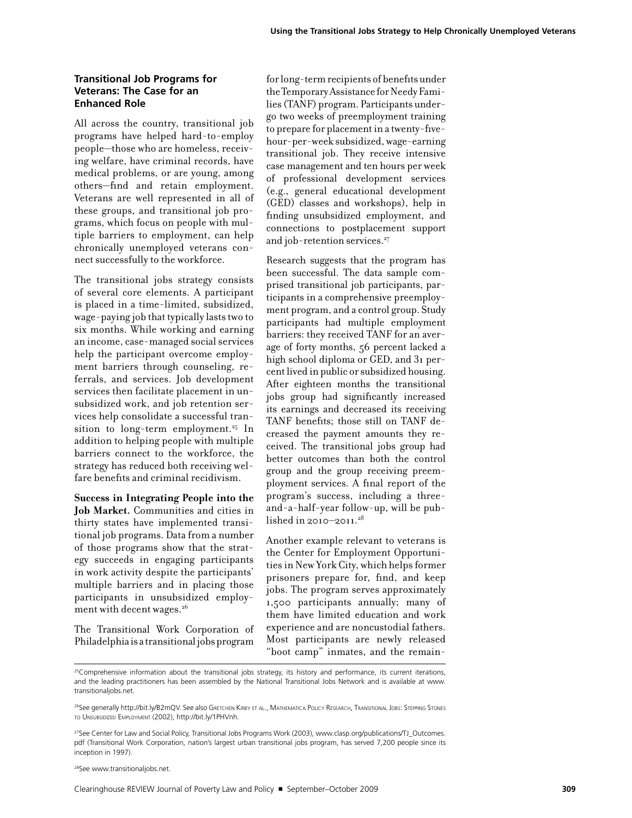#### **Transitional Job Programs for Veterans: The Case for an Enhanced Role**

All across the country, transitional job programs have helped hard-to-employ people—those who are homeless, receiving welfare, have criminal records, have medical problems, or are young, among others—find and retain employment. Veterans are well represented in all of these groups, and transitional job programs, which focus on people with multiple barriers to employment, can help chronically unemployed veterans connect successfully to the workforce.

The transitional jobs strategy consists of several core elements. A participant is placed in a time-limited, subsidized, wage-paying job that typically lasts two to six months. While working and earning an income, case-managed social services help the participant overcome employment barriers through counseling, referrals, and services. Job development services then facilitate placement in unsubsidized work, and job retention services help consolidate a successful transition to long-term employment.<sup>25</sup> In addition to helping people with multiple barriers connect to the workforce, the strategy has reduced both receiving welfare benefits and criminal recidivism.

**Success in Integrating People into the Job Market.** Communities and cities in thirty states have implemented transitional job programs. Data from a number of those programs show that the strategy succeeds in engaging participants in work activity despite the participants' multiple barriers and in placing those participants in unsubsidized employment with decent wages.<sup>26</sup>

The Transitional Work Corporation of Philadelphia is a transitional jobs program for long-term recipients of benefits under the Temporary Assistance for Needy Families (TANF) program. Participants undergo two weeks of preemployment training to prepare for placement in a twenty-fivehour-per-week subsidized, wage-earning transitional job. They receive intensive case management and ten hours per week of professional development services (e.g., general educational development (GED) classes and workshops), help in finding unsubsidized employment, and connections to postplacement support and job-retention services.<sup>27</sup>

Research suggests that the program has been successful. The data sample comprised transitional job participants, participants in a comprehensive preemployment program, and a control group. Study participants had multiple employment barriers: they received TANF for an average of forty months, 56 percent lacked a high school diploma or GED, and 31 percent lived in public or subsidized housing. After eighteen months the transitional jobs group had significantly increased its earnings and decreased its receiving TANF benefits; those still on TANF decreased the payment amounts they received. The transitional jobs group had better outcomes than both the control group and the group receiving preemployment services. A final report of the program's success, including a threeand-a-half-year follow-up, will be published in 2010–2011.<sup>28</sup>

Another example relevant to veterans is the Center for Employment Opportunities in New York City, which helps former prisoners prepare for, find, and keep jobs. The program serves approximately 1,500 participants annually; many of them have limited education and work experience and are noncustodial fathers. Most participants are newly released "boot camp" inmates, and the remain-

28See www.transitionaljobs.net.

<sup>&</sup>lt;sup>25</sup>Comprehensive information about the transitional jobs strategy, its history and performance, its current iterations, and the leading practitioners has been assembled by the National Transitional Jobs Network and is available at www. transitionaljobs.net.

<sup>&</sup>lt;sup>26</sup>See generally http://bit.ly/B2mQV. See also Greтснем Кіrву ет аl., Матнематіса Роцсу Research, Transitional Jobs: Stepping Stones to Unsubsidized Employment (2002), http://bit.ly/1PHVnh.

<sup>&</sup>lt;sup>27</sup>See Center for Law and Social Policy, Transitional Jobs Programs Work (2003), www.clasp.org/publications/TJ\_Outcomes. pdf (Transitional Work Corporation, nation's largest urban transitional jobs program, has served 7,200 people since its inception in 1997).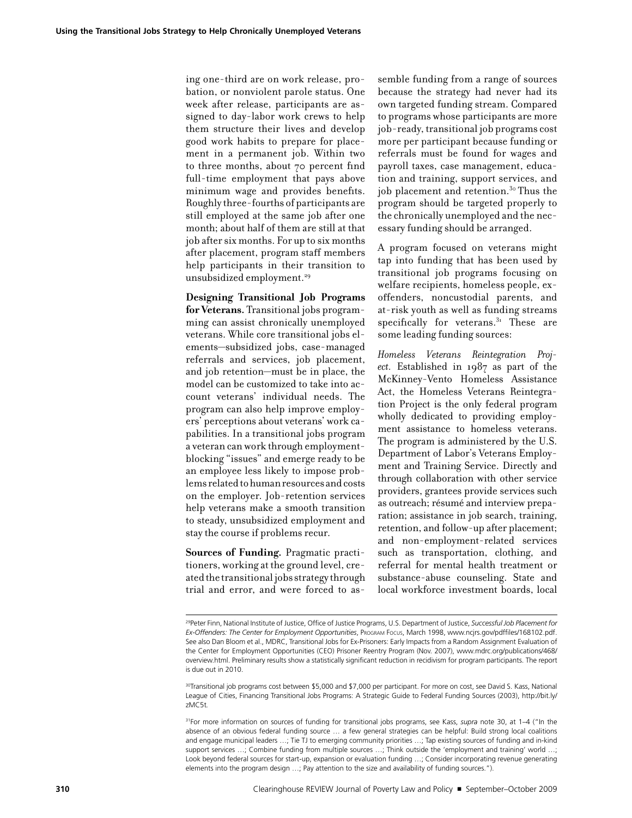ing one-third are on work release, probation, or nonviolent parole status. One week after release, participants are assigned to day-labor work crews to help them structure their lives and develop good work habits to prepare for placement in a permanent job. Within two to three months, about 70 percent find full-time employment that pays above minimum wage and provides benefits. Roughly three-fourths of participants are still employed at the same job after one month; about half of them are still at that job after six months. For up to six months after placement, program staff members help participants in their transition to unsubsidized employment.29

**Designing Transitional Job Programs for Veterans.** Transitional jobs programming can assist chronically unemployed veterans. While core transitional jobs elements—subsidized jobs, case-managed referrals and services, job placement, and job retention—must be in place, the model can be customized to take into account veterans' individual needs. The program can also help improve employers' perceptions about veterans' work capabilities. In a transitional jobs program a veteran can work through employmentblocking "issues" and emerge ready to be an employee less likely to impose problems related to human resources and costs on the employer. Job-retention services help veterans make a smooth transition to steady, unsubsidized employment and stay the course if problems recur.

**Sources of Funding.** Pragmatic practitioners, working at the ground level, created the transitional jobs strategy through trial and error, and were forced to assemble funding from a range of sources because the strategy had never had its own targeted funding stream. Compared to programs whose participants are more job-ready, transitional job programs cost more per participant because funding or referrals must be found for wages and payroll taxes, case management, education and training, support services, and job placement and retention.30 Thus the program should be targeted properly to the chronically unemployed and the necessary funding should be arranged.

A program focused on veterans might tap into funding that has been used by transitional job programs focusing on welfare recipients, homeless people, exoffenders, noncustodial parents, and at-risk youth as well as funding streams specifically for veterans. $31$  These are some leading funding sources:

*Homeless Veterans Reintegration Project.* Established in 1987 as part of the McKinney-Vento Homeless Assistance Act, the Homeless Veterans Reintegration Project is the only federal program wholly dedicated to providing employment assistance to homeless veterans. The program is administered by the U.S. Department of Labor's Veterans Employment and Training Service. Directly and through collaboration with other service providers, grantees provide services such as outreach; résumé and interview preparation; assistance in job search, training, retention, and follow-up after placement; and non-employment-related services such as transportation, clothing, and referral for mental health treatment or substance-abuse counseling. State and local workforce investment boards, local

<sup>29</sup>Peter Finn, National Institute of Justice, Office of Justice Programs, U.S. Department of Justice, *Successful Job Placement for Ex-Offenders: The Center for Employment Opportunities*, Program Focus, March 1998, www.ncjrs.gov/pdffiles/168102.pdf. See also Dan Bloom et al., MDRC, Transitional Jobs for Ex-Prisoners: Early Impacts from a Random Assignment Evaluation of the Center for Employment Opportunities (CEO) Prisoner Reentry Program (Nov. 2007), www.mdrc.org/publications/468/ overview.html. Preliminary results show a statistically significant reduction in recidivism for program participants. The report is due out in 2010.

<sup>30</sup>Transitional job programs cost between \$5,000 and \$7,000 per participant. For more on cost, see David S. Kass, National League of Cities, Financing Transitional Jobs Programs: A Strategic Guide to Federal Funding Sources (2003), http://bit.ly/ zMC5t*.*

<sup>31</sup>For more information on sources of funding for transitional jobs programs, see Kass, *supra* note 30, at 1–4 ("In the absence of an obvious federal funding source … a few general strategies can be helpful: Build strong local coalitions and engage municipal leaders …; Tie TJ to emerging community priorities …; Tap existing sources of funding and in-kind support services …; Combine funding from multiple sources …; Think outside the 'employment and training' world …; Look beyond federal sources for start-up, expansion or evaluation funding …; Consider incorporating revenue generating elements into the program design …; Pay attention to the size and availability of funding sources.").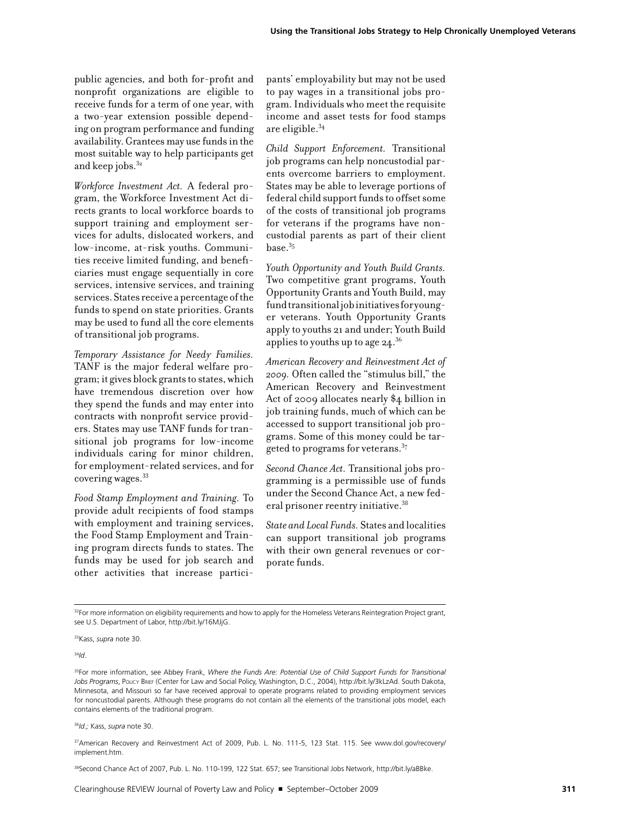public agencies, and both for-profit and nonprofit organizations are eligible to receive funds for a term of one year, with a two-year extension possible depending on program performance and funding availability. Grantees may use funds in the most suitable way to help participants get and keep jobs. $32$ 

*Workforce Investment Act.* A federal program, the Workforce Investment Act directs grants to local workforce boards to support training and employment services for adults, dislocated workers, and low-income, at-risk youths. Communities receive limited funding, and beneficiaries must engage sequentially in core services, intensive services, and training services. States receive a percentage of the funds to spend on state priorities. Grants may be used to fund all the core elements of transitional job programs.

*Temporary Assistance for Needy Families.* TANF is the major federal welfare program; it gives block grants to states, which have tremendous discretion over how they spend the funds and may enter into contracts with nonprofit service providers. States may use TANF funds for transitional job programs for low-income individuals caring for minor children, for employment-related services, and for covering wages.33

*Food Stamp Employment and Training.* To provide adult recipients of food stamps with employment and training services, the Food Stamp Employment and Training program directs funds to states. The funds may be used for job search and other activities that increase partici-

pants' employability but may not be used to pay wages in a transitional jobs program. Individuals who meet the requisite income and asset tests for food stamps are eligible.34

*Child Support Enforcement.* Transitional job programs can help noncustodial parents overcome barriers to employment. States may be able to leverage portions of federal child support funds to offset some of the costs of transitional job programs for veterans if the programs have noncustodial parents as part of their client  $base<sup>35</sup>$ 

*Youth Opportunity and Youth Build Grants.* Two competitive grant programs, Youth Opportunity Grants and Youth Build, may fund transitional job initiatives for younger veterans. Youth Opportunity Grants apply to youths 21 and under; Youth Build applies to youths up to age  $24.^{36}$ 

*American Recovery and Reinvestment Act of 2009.* Often called the "stimulus bill," the American Recovery and Reinvestment Act of 2009 allocates nearly \$4 billion in job training funds, much of which can be accessed to support transitional job programs. Some of this money could be targeted to programs for veterans.37

*Second Chance Act.* Transitional jobs programming is a permissible use of funds under the Second Chance Act, a new federal prisoner reentry initiative.38

*State and Local Funds.* States and localities can support transitional job programs with their own general revenues or corporate funds.

<sup>34</sup>*Id*.

<sup>35</sup>For more information, see Abbey Frank, Where the Funds Are: Potential Use of Child Support Funds for Transitional *Jobs Programs*, Policy Brief (Center for Law and Social Policy, Washington, D.C., 2004), http://bit.ly/3kLzAd. South Dakota, Minnesota, and Missouri so far have received approval to operate programs related to providing employment services for noncustodial parents. Although these programs do not contain all the elements of the transitional jobs model, each contains elements of the traditional program.

<sup>36</sup>*Id.;* Kass, *supra* note 30.

37American Recovery and Reinvestment Act of 2009, Pub. L. No. 111-5, 123 Stat. 115. See www.dol.gov/recovery/ implement.htm.

38Second Chance Act of 2007, Pub. L. No. 110-199, 122 Stat. 657; see Transitional Jobs Network, http://bit.ly/aBBke.

<sup>32</sup>For more information on eligibility requirements and how to apply for the Homeless Veterans Reintegration Project grant, see U.S. Department of Labor, http://bit.ly/16MJjG.

<sup>33</sup>Kass, *supra* note 30.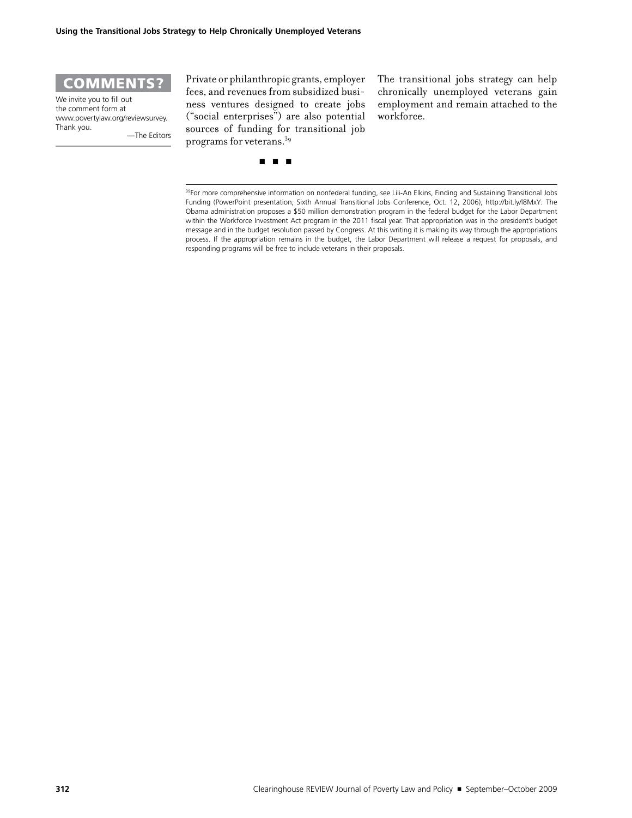

We invite you to fill out the comment form at www.povertylaw.org/reviewsurvey. Thank you.

—The Editors

Private or philanthropic grants, employer fees, and revenues from subsidized business ventures designed to create jobs ("social enterprises") are also potential sources of funding for transitional job programs for veterans.39

The transitional jobs strategy can help chronically unemployed veterans gain employment and remain attached to the workforce.

■ ■ ■

39For more comprehensive information on nonfederal funding, see Lili-An Elkins, Finding and Sustaining Transitional Jobs Funding (PowerPoint presentation, Sixth Annual Transitional Jobs Conference, Oct. 12, 2006), http://bit.ly/l8MxY*.* The Obama administration proposes a \$50 million demonstration program in the federal budget for the Labor Department within the Workforce Investment Act program in the 2011 fiscal year. That appropriation was in the president's budget message and in the budget resolution passed by Congress. At this writing it is making its way through the appropriations process. If the appropriation remains in the budget, the Labor Department will release a request for proposals, and responding programs will be free to include veterans in their proposals.